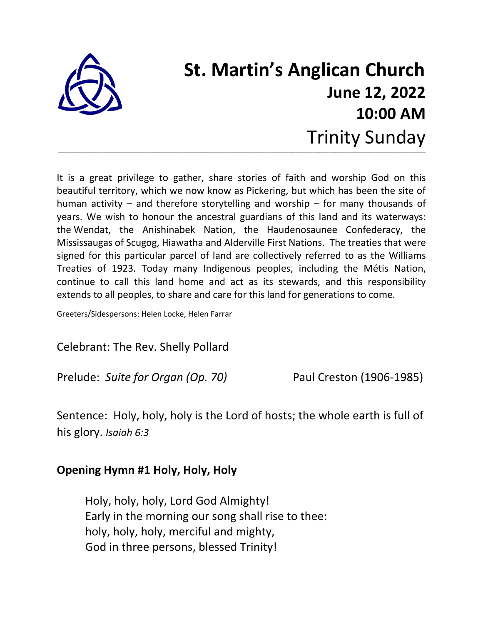

# **St. Martin's Anglican Church June 12, 2022 10:00 AM** Trinity Sunday

It is a great privilege to gather, share stories of faith and worship God on this beautiful territory, which we now know as Pickering, but which has been the site of human activity – and therefore storytelling and worship – for many thousands of years. We wish to honour the ancestral guardians of this land and its waterways: the Wendat, the Anishinabek Nation, the Haudenosaunee Confederacy, the Mississaugas of Scugog, Hiawatha and Alderville First Nations. The treaties that were signed for this particular parcel of land are collectively referred to as the Williams Treaties of 1923. Today many Indigenous peoples, including the Métis Nation, continue to call this land home and act as its stewards, and this responsibility extends to all peoples, to share and care for this land for generations to come.

**\_\_\_\_\_\_\_\_\_\_\_\_\_\_\_\_\_\_\_\_\_\_\_\_\_\_\_\_\_\_\_\_\_\_\_\_\_\_\_\_\_\_\_\_\_\_\_\_\_\_\_\_\_\_\_\_\_\_\_\_\_\_\_\_\_\_\_\_\_\_\_\_\_\_\_\_\_\_\_\_\_\_\_\_\_\_\_\_\_\_\_\_\_\_\_\_\_\_\_\_\_\_\_\_\_\_\_\_\_\_\_\_\_\_\_\_\_\_\_\_\_\_\_\_\_\_\_\_\_\_\_\_\_\_\_\_\_\_\_\_\_\_\_\_\_\_\_\_\_\_\_\_\_\_\_\_\_\_\_\_\_\_\_\_\_\_\_\_\_\_\_\_\_\_\_\_\_\_\_\_\_\_\_\_\_\_\_\_\_\_\_\_\_\_\_\_\_\_\_\_\_\_\_\_\_\_\_\_\_\_\_\_\_\_\_\_\_\_\_\_\_\_\_\_\_\_\_\_\_\_\_\_\_\_**

Greeters/Sidespersons: Helen Locke, Helen Farrar

Celebrant: The Rev. Shelly Pollard

Prelude: *Suite for Organ (Op. 70)* Paul Creston (1906-1985)

Sentence: Holy, holy, holy is the Lord of hosts; the whole earth is full of his glory. *Isaiah 6:3*

#### **Opening Hymn #1 Holy, Holy, Holy**

Holy, holy, holy, Lord God Almighty! Early in the morning our song shall rise to thee: holy, holy, holy, merciful and mighty, God in three persons, blessed Trinity!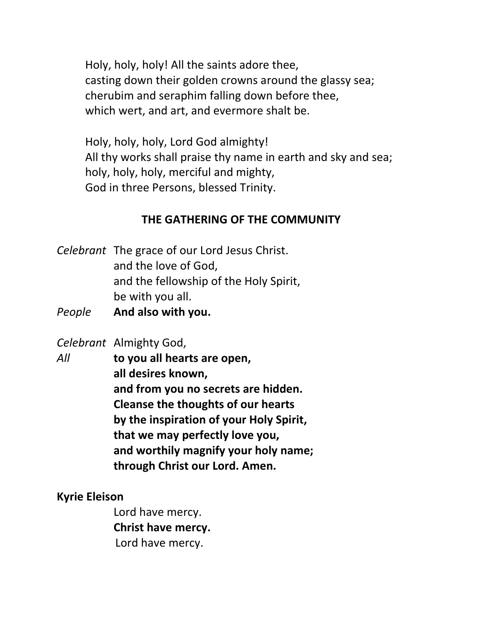Holy, holy, holy! All the saints adore thee, casting down their golden crowns around the glassy sea; cherubim and seraphim falling down before thee, which wert, and art, and evermore shalt be.

Holy, holy, holy, Lord God almighty! All thy works shall praise thy name in earth and sky and sea; holy, holy, holy, merciful and mighty, God in three Persons, blessed Trinity.

#### **THE GATHERING OF THE COMMUNITY**

*Celebrant* The grace of our Lord Jesus Christ. and the love of God, and the fellowship of the Holy Spirit, be with you all.

*People* **And also with you.** 

*Celebrant* Almighty God,

*All* **to you all hearts are open, all desires known, and from you no secrets are hidden. Cleanse the thoughts of our hearts by the inspiration of your Holy Spirit, that we may perfectly love you, and worthily magnify your holy name; through Christ our Lord. Amen.**

**Kyrie Eleison** 

Lord have mercy. **Christ have mercy.**  Lord have mercy.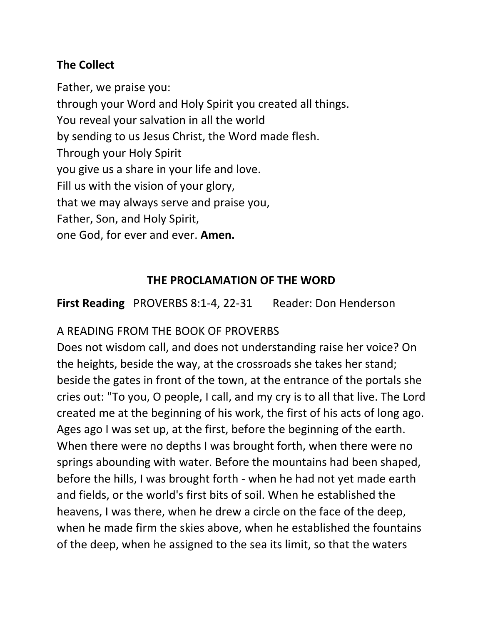# **The Collect**

Father, we praise you:

through your Word and Holy Spirit you created all things.

You reveal your salvation in all the world

by sending to us Jesus Christ, the Word made flesh.

Through your Holy Spirit

you give us a share in your life and love.

Fill us with the vision of your glory,

that we may always serve and praise you,

Father, Son, and Holy Spirit,

one God, for ever and ever. **Amen.**

# **THE PROCLAMATION OF THE WORD**

**First Reading** PROVERBS 8:1-4, 22-31Reader: Don Henderson

# A READING FROM THE BOOK OF PROVERBS

Does not wisdom call, and does not understanding raise her voice? On the heights, beside the way, at the crossroads she takes her stand; beside the gates in front of the town, at the entrance of the portals she cries out: "To you, O people, I call, and my cry is to all that live. The Lord created me at the beginning of his work, the first of his acts of long ago. Ages ago I was set up, at the first, before the beginning of the earth. When there were no depths I was brought forth, when there were no springs abounding with water. Before the mountains had been shaped, before the hills, I was brought forth - when he had not yet made earth and fields, or the world's first bits of soil. When he established the heavens, I was there, when he drew a circle on the face of the deep, when he made firm the skies above, when he established the fountains of the deep, when he assigned to the sea its limit, so that the waters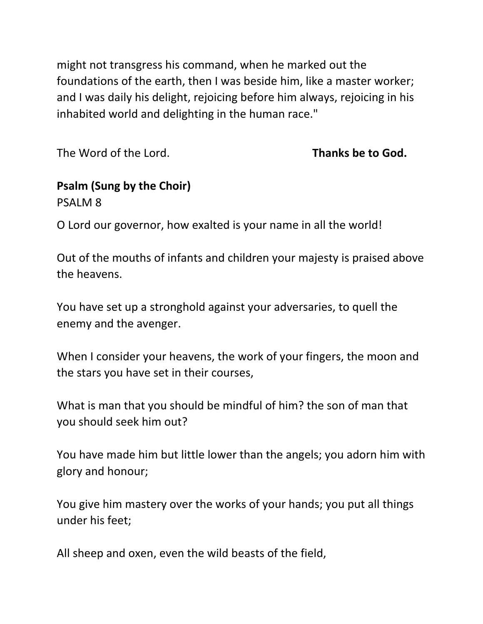might not transgress his command, when he marked out the foundations of the earth, then I was beside him, like a master worker; and I was daily his delight, rejoicing before him always, rejoicing in his inhabited world and delighting in the human race."

The Word of the Lord. **Thanks be to God.**

# **Psalm (Sung by the Choir)**

PSALM 8

O Lord our governor, how exalted is your name in all the world!

Out of the mouths of infants and children your majesty is praised above the heavens.

You have set up a stronghold against your adversaries, to quell the enemy and the avenger.

When I consider your heavens, the work of your fingers, the moon and the stars you have set in their courses,

What is man that you should be mindful of him? the son of man that you should seek him out?

You have made him but little lower than the angels; you adorn him with glory and honour;

You give him mastery over the works of your hands; you put all things under his feet;

All sheep and oxen, even the wild beasts of the field,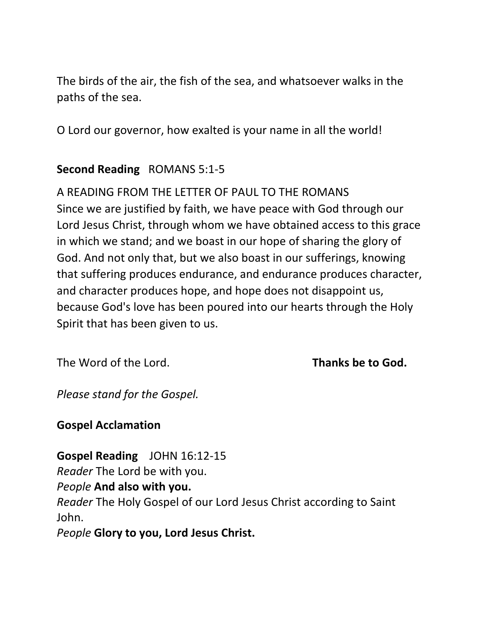The birds of the air, the fish of the sea, and whatsoever walks in the paths of the sea.

O Lord our governor, how exalted is your name in all the world!

# **Second Reading** ROMANS 5:1-5

A READING FROM THE LETTER OF PAUL TO THE ROMANS Since we are justified by faith, we have peace with God through our Lord Jesus Christ, through whom we have obtained access to this grace in which we stand; and we boast in our hope of sharing the glory of God. And not only that, but we also boast in our sufferings, knowing that suffering produces endurance, and endurance produces character, and character produces hope, and hope does not disappoint us, because God's love has been poured into our hearts through the Holy Spirit that has been given to us.

The Word of the Lord. **Thanks be to God.**

*Please stand for the Gospel.* 

**Gospel Acclamation**

**Gospel Reading** JOHN 16:12-15

*Reader* The Lord be with you.

*People* **And also with you.** 

*Reader* The Holy Gospel of our Lord Jesus Christ according to Saint John.

*People* **Glory to you, Lord Jesus Christ.**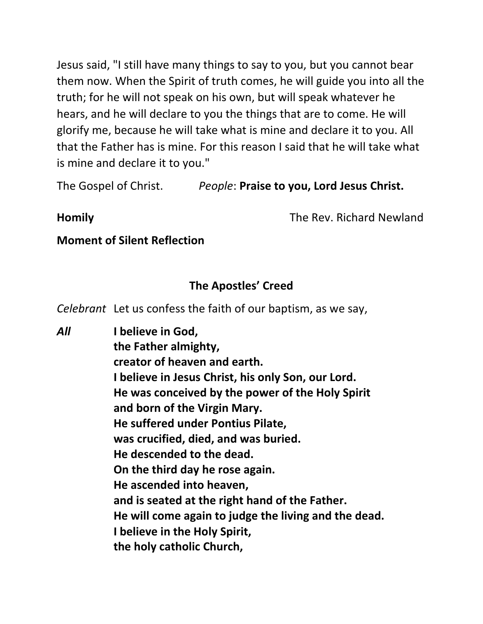Jesus said, "I still have many things to say to you, but you cannot bear them now. When the Spirit of truth comes, he will guide you into all the truth; for he will not speak on his own, but will speak whatever he hears, and he will declare to you the things that are to come. He will glorify me, because he will take what is mine and declare it to you. All that the Father has is mine. For this reason I said that he will take what is mine and declare it to you."

The Gospel of Christ. *People*: **Praise to you, Lord Jesus Christ.**

**Homily** The Rev. Richard Newland

#### **Moment of Silent Reflection**

# **The Apostles' Creed**

*Celebrant* Let us confess the faith of our baptism, as we say,

*All* **I believe in God, the Father almighty, creator of heaven and earth. I believe in Jesus Christ, his only Son, our Lord. He was conceived by the power of the Holy Spirit and born of the Virgin Mary. He suffered under Pontius Pilate, was crucified, died, and was buried. He descended to the dead. On the third day he rose again. He ascended into heaven, and is seated at the right hand of the Father. He will come again to judge the living and the dead. I believe in the Holy Spirit, the holy catholic Church,**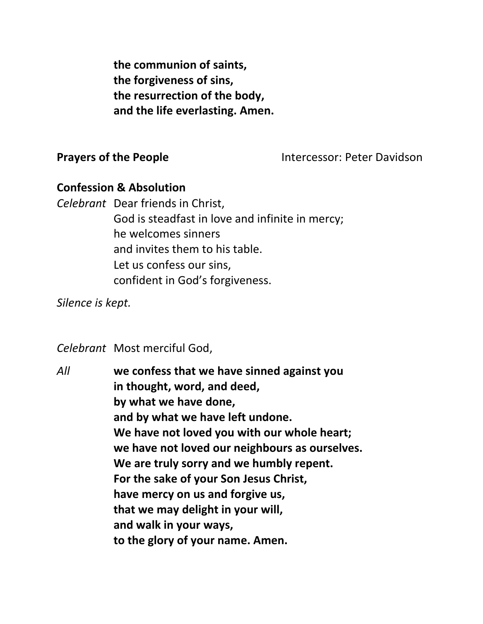**the communion of saints, the forgiveness of sins, the resurrection of the body, and the life everlasting. Amen.**

#### **Prayers of the People Intercessor: Peter Davidson**

#### **Confession & Absolution**

*Celebrant* Dear friends in Christ, God is steadfast in love and infinite in mercy; he welcomes sinners and invites them to his table. Let us confess our sins, confident in God's forgiveness.

*Silence is kept.* 

*Celebrant* Most merciful God,

*All* **we confess that we have sinned against you in thought, word, and deed, by what we have done, and by what we have left undone. We have not loved you with our whole heart; we have not loved our neighbours as ourselves. We are truly sorry and we humbly repent. For the sake of your Son Jesus Christ, have mercy on us and forgive us, that we may delight in your will, and walk in your ways, to the glory of your name. Amen.**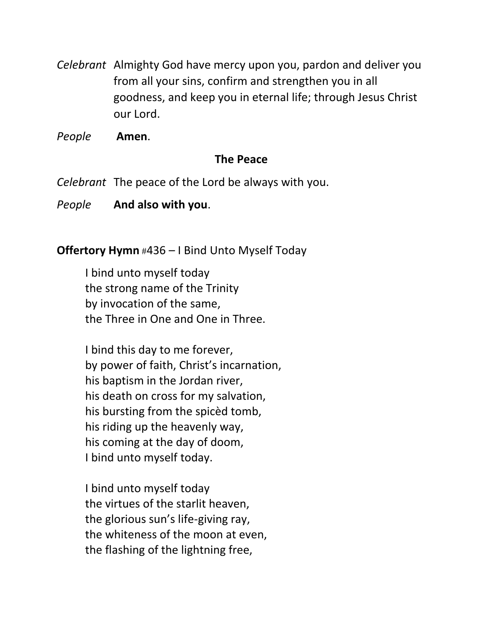*Celebrant* Almighty God have mercy upon you, pardon and deliver you from all your sins, confirm and strengthen you in all goodness, and keep you in eternal life; through Jesus Christ our Lord.

*People* **Amen**.

# **The Peace**

*Celebrant* The peace of the Lord be always with you.

*People* **And also with you**.

# **Offertory Hymn** #436 – I Bind Unto Myself Today

I bind unto myself today the strong name of the Trinity by invocation of the same, the Three in One and One in Three.

I bind this day to me forever, by power of faith, Christ's incarnation, his baptism in the Jordan river, his death on cross for my salvation, his bursting from the spicèd tomb, his riding up the heavenly way, his coming at the day of doom, I bind unto myself today.

I bind unto myself today the virtues of the starlit heaven, the glorious sun's life-giving ray, the whiteness of the moon at even, the flashing of the lightning free,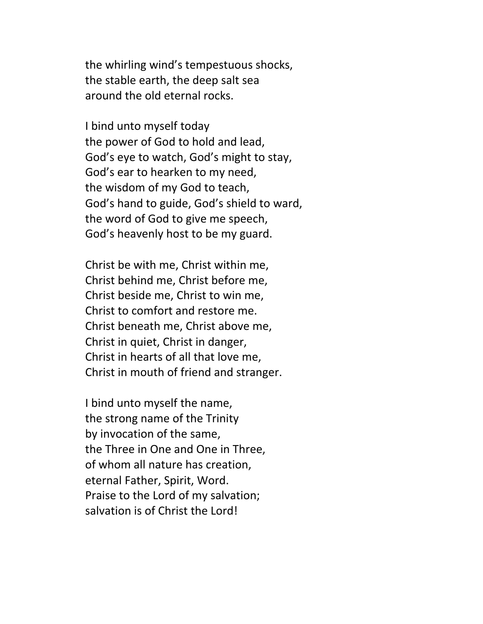the whirling wind's tempestuous shocks, the stable earth, the deep salt sea around the old eternal rocks.

I bind unto myself today the power of God to hold and lead, God's eye to watch, God's might to stay, God's ear to hearken to my need, the wisdom of my God to teach, God's hand to guide, God's shield to ward, the word of God to give me speech, God's heavenly host to be my guard.

Christ be with me, Christ within me, Christ behind me, Christ before me, Christ beside me, Christ to win me, Christ to comfort and restore me. Christ beneath me, Christ above me, Christ in quiet, Christ in danger, Christ in hearts of all that love me, Christ in mouth of friend and stranger.

I bind unto myself the name, the strong name of the Trinity by invocation of the same, the Three in One and One in Three, of whom all nature has creation, eternal Father, Spirit, Word. Praise to the Lord of my salvation; salvation is of Christ the Lord!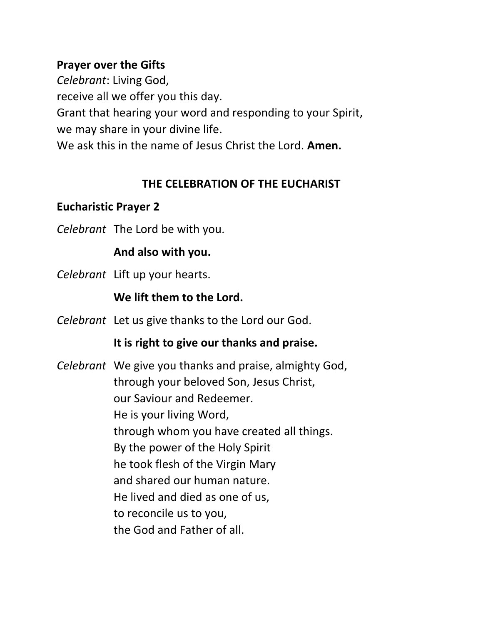#### **Prayer over the Gifts**

*Celebrant*: Living God, receive all we offer you this day. Grant that hearing your word and responding to your Spirit, we may share in your divine life. We ask this in the name of Jesus Christ the Lord. **Amen.**

#### **THE CELEBRATION OF THE EUCHARIST**

# **Eucharistic Prayer 2**

*Celebrant* The Lord be with you.

#### **And also with you.**

*Celebrant* Lift up your hearts.

# **We lift them to the Lord.**

*Celebrant* Let us give thanks to the Lord our God.

# **It is right to give our thanks and praise.**

*Celebrant* We give you thanks and praise, almighty God, through your beloved Son, Jesus Christ, our Saviour and Redeemer. He is your living Word, through whom you have created all things. By the power of the Holy Spirit he took flesh of the Virgin Mary and shared our human nature. He lived and died as one of us, to reconcile us to you, the God and Father of all.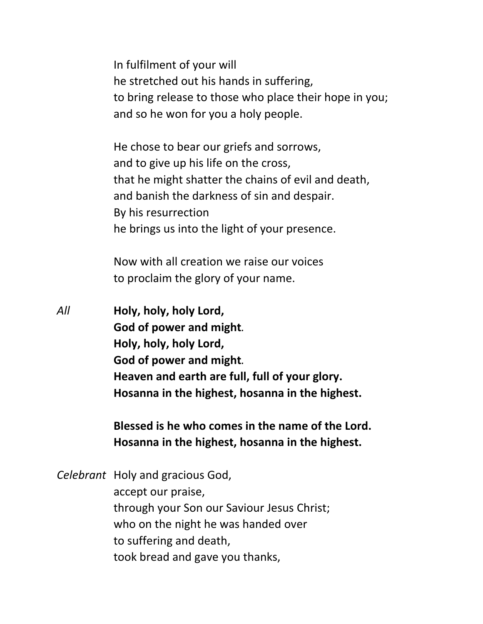In fulfilment of your will he stretched out his hands in suffering, to bring release to those who place their hope in you; and so he won for you a holy people.

He chose to bear our griefs and sorrows, and to give up his life on the cross, that he might shatter the chains of evil and death, and banish the darkness of sin and despair. By his resurrection he brings us into the light of your presence.

Now with all creation we raise our voices to proclaim the glory of your name.

*All* **Holy, holy, holy Lord, God of power and might***.* **Holy, holy, holy Lord, God of power and might***.* **Heaven and earth are full, full of your glory. Hosanna in the highest, hosanna in the highest.**

> **Blessed is he who comes in the name of the Lord. Hosanna in the highest, hosanna in the highest.**

*Celebrant* Holy and gracious God, accept our praise, through your Son our Saviour Jesus Christ; who on the night he was handed over to suffering and death, took bread and gave you thanks,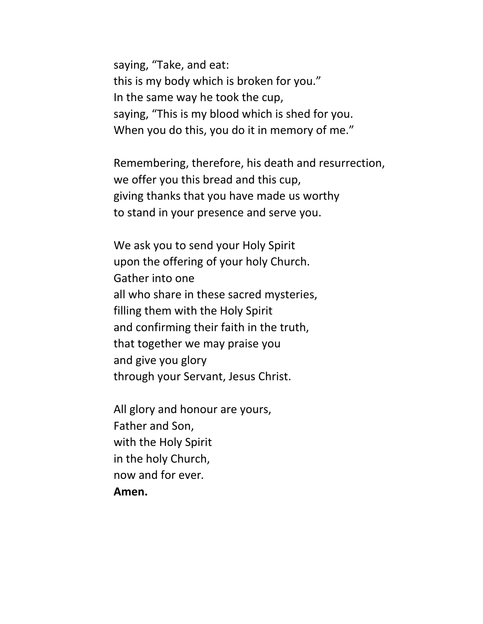saying, "Take, and eat: this is my body which is broken for you." In the same way he took the cup, saying, "This is my blood which is shed for you. When you do this, you do it in memory of me."

Remembering, therefore, his death and resurrection, we offer you this bread and this cup, giving thanks that you have made us worthy to stand in your presence and serve you.

We ask you to send your Holy Spirit upon the offering of your holy Church. Gather into one all who share in these sacred mysteries, filling them with the Holy Spirit and confirming their faith in the truth, that together we may praise you and give you glory through your Servant, Jesus Christ.

All glory and honour are yours, Father and Son, with the Holy Spirit in the holy Church, now and for ever*.* **Amen.**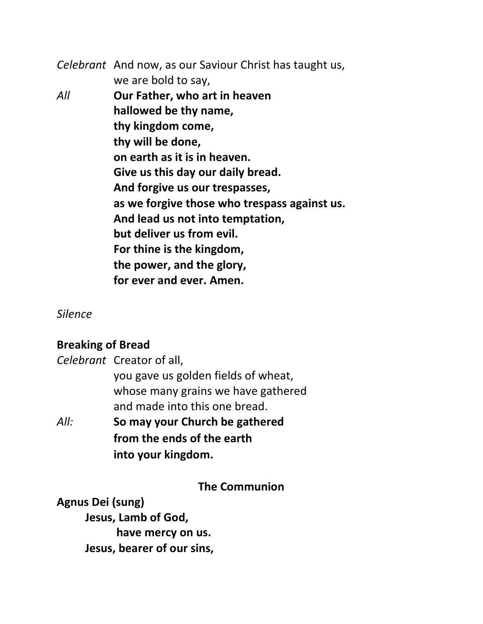*Celebrant* And now, as our Saviour Christ has taught us, we are bold to say, *All* **Our Father, who art in heaven hallowed be thy name, thy kingdom come, thy will be done, on earth as it is in heaven. Give us this day our daily bread. And forgive us our trespasses, as we forgive those who trespass against us. And lead us not into temptation, but deliver us from evil. For thine is the kingdom, the power, and the glory, for ever and ever. Amen.** 

*Silence* 

#### **Breaking of Bread**

| All: | So may your Church be gathered      |
|------|-------------------------------------|
|      | and made into this one bread.       |
|      | whose many grains we have gathered  |
|      | you gave us golden fields of wheat, |
|      | Celebrant Creator of all,           |

**from the ends of the earth into your kingdom.** 

**The Communion**

**Agnus Dei (sung) Jesus, Lamb of God, have mercy on us. Jesus, bearer of our sins,**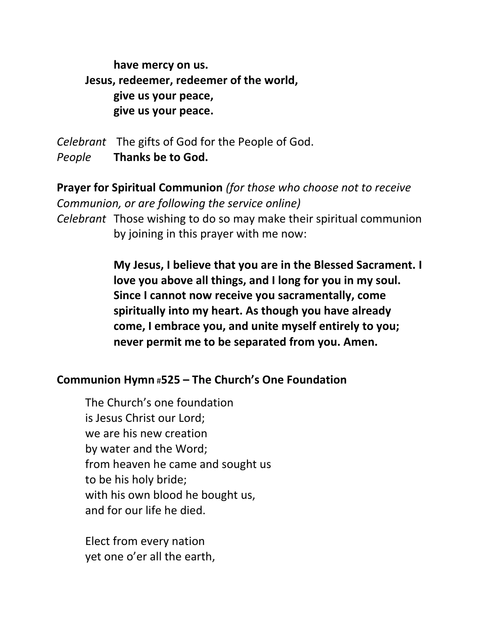**have mercy on us. Jesus, redeemer, redeemer of the world, give us your peace, give us your peace.** 

*Celebrant* The gifts of God for the People of God. *People* **Thanks be to God.**

**Prayer for Spiritual Communion** *(for those who choose not to receive Communion, or are following the service online) Celebrant* Those wishing to do so may make their spiritual communion by joining in this prayer with me now:

> **My Jesus, I believe that you are in the Blessed Sacrament. I love you above all things, and I long for you in my soul. Since I cannot now receive you sacramentally, come spiritually into my heart. As though you have already come, I embrace you, and unite myself entirely to you; never permit me to be separated from you. Amen.**

#### **Communion Hymn** #**525 – The Church's One Foundation**

The Church's one foundation is Jesus Christ our Lord; we are his new creation by water and the Word; from heaven he came and sought us to be his holy bride; with his own blood he bought us, and for our life he died.

Elect from every nation yet one o'er all the earth,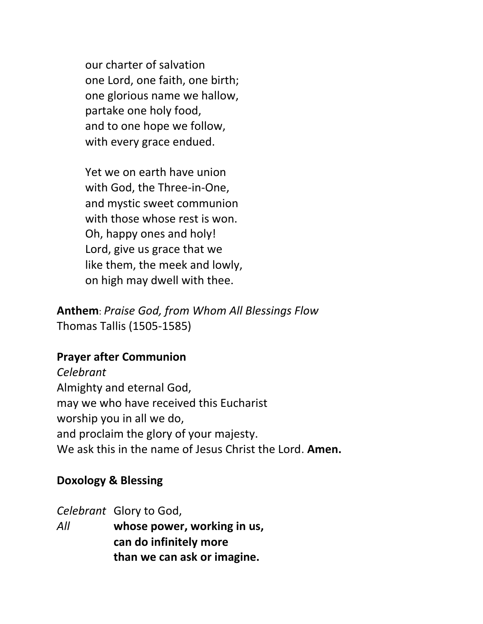our charter of salvation one Lord, one faith, one birth; one glorious name we hallow, partake one holy food, and to one hope we follow, with every grace endued.

Yet we on earth have union with God, the Three-in-One, and mystic sweet communion with those whose rest is won. Oh, happy ones and holy! Lord, give us grace that we like them, the meek and lowly, on high may dwell with thee.

**Anthem**: *Praise God, from Whom All Blessings Flow* Thomas Tallis (1505-1585)

# **Prayer after Communion**

*Celebrant*  Almighty and eternal God, may we who have received this Eucharist worship you in all we do, and proclaim the glory of your majesty. We ask this in the name of Jesus Christ the Lord. **Amen.**

#### **Doxology & Blessing**

*Celebrant* Glory to God,

*All* **whose power, working in us, can do infinitely more than we can ask or imagine.**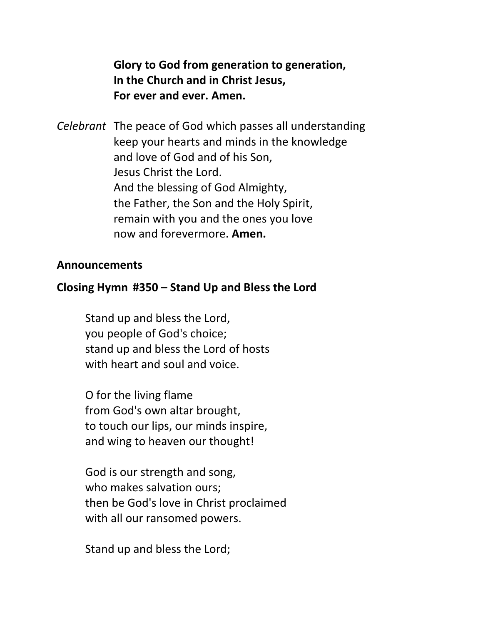**Glory to God from generation to generation, In the Church and in Christ Jesus, For ever and ever. Amen.**

*Celebrant* The peace of God which passes all understanding keep your hearts and minds in the knowledge and love of God and of his Son, Jesus Christ the Lord. And the blessing of God Almighty, the Father, the Son and the Holy Spirit, remain with you and the ones you love now and forevermore. **Amen.**

#### **Announcements**

#### **Closing Hymn #350 – Stand Up and Bless the Lord**

Stand up and bless the Lord, you people of God's choice; stand up and bless the Lord of hosts with heart and soul and voice.

O for the living flame from God's own altar brought, to touch our lips, our minds inspire, and wing to heaven our thought!

God is our strength and song, who makes salvation ours; then be God's love in Christ proclaimed with all our ransomed powers.

Stand up and bless the Lord;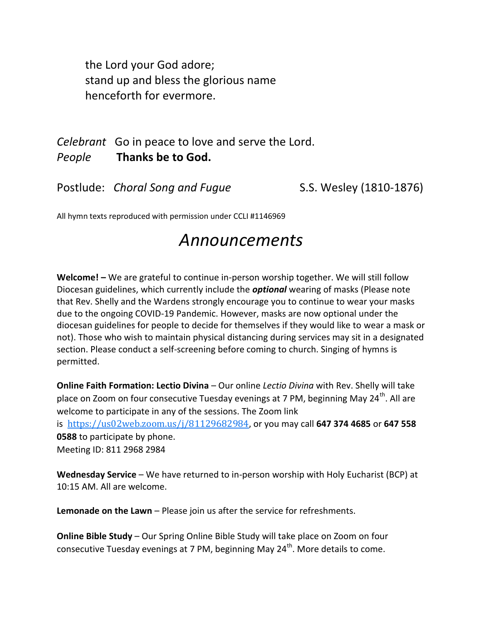the Lord your God adore; stand up and bless the glorious name henceforth for evermore.

*Celebrant* Go in peace to love and serve the Lord. *People* **Thanks be to God.** 

Postlude: *Choral Song and Fugue* S.S. Wesley (1810-1876)

All hymn texts reproduced with permission under CCLI #1146969

# *Announcements*

**Welcome! –** We are grateful to continue in-person worship together. We will still follow Diocesan guidelines, which currently include the *optional* wearing of masks (Please note that Rev. Shelly and the Wardens strongly encourage you to continue to wear your masks due to the ongoing COVID-19 Pandemic. However, masks are now optional under the diocesan guidelines for people to decide for themselves if they would like to wear a mask or not). Those who wish to maintain physical distancing during services may sit in a designated section. Please conduct a self-screening before coming to church. Singing of hymns is permitted.

**Online Faith Formation: Lectio Divina** – Our online *Lectio Divina* with Rev. Shelly will take place on Zoom on four consecutive Tuesday evenings at 7 PM, beginning May 24<sup>th</sup>. All are welcome to participate in any of the sessions. The Zoom link is [https://us02web.zoom.us/j/81129682984,](https://us02web.zoom.us/j/81129682984) or you may call **647 374 4685** or **647 558 0588** to participate by phone. Meeting ID: 811 2968 2984

Wednesday Service – We have returned to in-person worship with Holy Eucharist (BCP) at 10:15 AM. All are welcome.

**Lemonade on the Lawn** – Please join us after the service for refreshments.

**Online Bible Study** – Our Spring Online Bible Study will take place on Zoom on four consecutive Tuesday evenings at 7 PM, beginning May  $24<sup>th</sup>$ . More details to come.